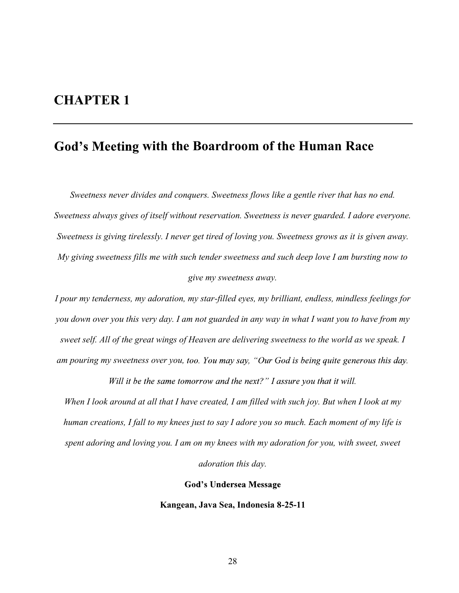## CHAPTER 1

# God's Meeting with the Boardroom of the Human Race

Sweetness never divides and conquers. Sweetness flows like a gentle river that has no end. Sweetness always gives of itself without reservation. Sweetness is never guarded. I adore everyone. Sweetness is giving tirelessly. I never get tired of loving you. Sweetness grows as it is given away. My giving sweetness fills me with such tender sweetness and such deep love I am bursting now to give my sweetness away.

I pour my tenderness, my adoration, my star-filled eyes, my brilliant, endless, mindless feelings for you down over you this very day. I am not guarded in any way in what I want you to have from my sweet self. All of the great wings of Heaven are delivering sweetness to the world as we speak. I am pouring my sweetness over you, too. You may say, "Our God is being quite generous this day.

Will it be the same tomorrow and the next?" I assure you that it will.

When I look around at all that I have created, I am filled with such joy. But when I look at my human creations, I fall to my knees just to say I adore you so much. Each moment of my life is spent adoring and loving you. I am on my knees with my adoration for you, with sweet, sweet adoration this day.

### **God's Undersea Message**

#### Kangean, Java Sea, Indonesia 8-25-11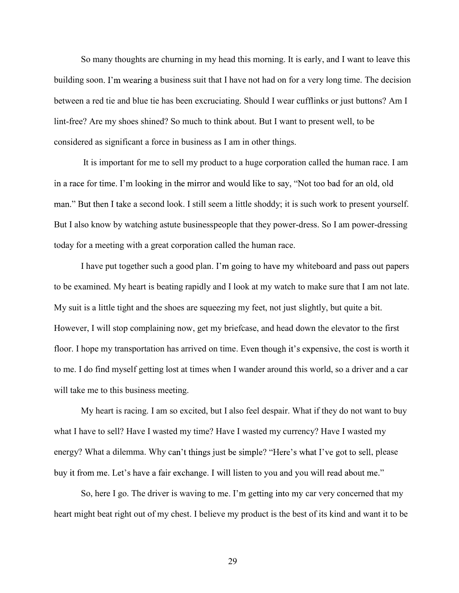So many thoughts are churning in my head this morning. It is early, and I want to leave this building soon. I'm wearing a business suit that I have not had on for a very long time. The decision between a red tie and blue tie has been excruciating. Should I wear cufflinks or just buttons? Am I lint-free? Are my shoes shined? So much to think about. But I want to present well, to be considered as significant a force in business as I am in other things.

 It is important for me to sell my product to a huge corporation called the human race. I am in a race for time. I'm looking in the mirror and would like to say, "Not too bad for an old, old man." But then I take a second look. I still seem a little shoddy; it is such work to present yourself. But I also know by watching astute businesspeople that they power-dress. So I am power-dressing today for a meeting with a great corporation called the human race.

I have put together such a good plan. I'm going to have my whiteboard and pass out papers to be examined. My heart is beating rapidly and I look at my watch to make sure that I am not late. My suit is a little tight and the shoes are squeezing my feet, not just slightly, but quite a bit. However, I will stop complaining now, get my briefcase, and head down the elevator to the first floor. I hope my transportation has arrived on time. Even though it's expensive, the cost is worth it to me. I do find myself getting lost at times when I wander around this world, so a driver and a car will take me to this business meeting.

My heart is racing. I am so excited, but I also feel despair. What if they do not want to buy what I have to sell? Have I wasted my time? Have I wasted my currency? Have I wasted my energy? What a dilemma. Why can't things just be simple? "Here's what I've got to sell, please buy it from me. Let's have a fair exchange. I will listen to you and you will read about me."<br>So, here I go. The driver is waving to me. I'm getting into my car very concerned that my

heart might beat right out of my chest. I believe my product is the best of its kind and want it to be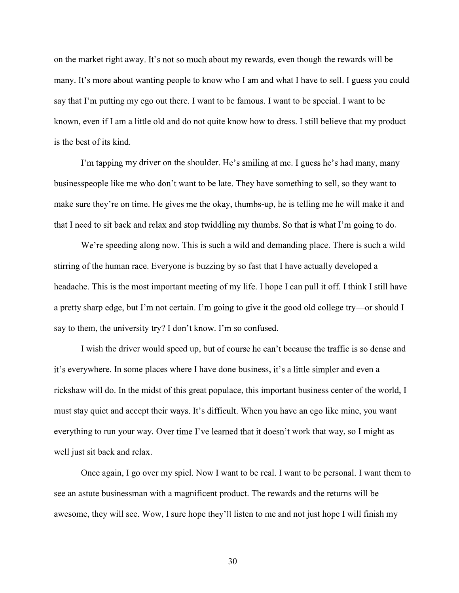on the market right away. It's not so much about my rewards, even though the rewards will be many. It's more about wanting people to know who I am and what I have to sell. I guess you could say that I'm putting my ego out there. I want to be famous. I want to be special. I want to be known, even if I am a little old and do not quite know how to dress. I still believe that my product is the best of its kind.

I'm tapping my driver on the shoulder. He's smiling at me. I guess he's had many, many businesspeople like me who don't want to be late. They have something to sell, so they want to make sure they're on time. He gives me the okay, thumbs-up, he is telling me he will make it and that I need to sit back and relax and stop twiddling my thumbs. So that is what I'm going to do.<br>We're speeding along now. This is such a wild and demanding place. There is such a wild

stirring of the human race. Everyone is buzzing by so fast that I have actually developed a headache. This is the most important meeting of my life. I hope I can pull it off. I think I still have a pretty sharp edge, but I'm not certain. I'm going to give it the good old college try—or should I say to them, the university try? I don't know. I'm so confused.

I wish the driver would speed up, but of course he can't because the traffic is so dense and it's everywhere. In some places where I have done business, it's a little simpler and even a rickshaw will do. In the midst of this great populace, this important business center of the world, I must stay quiet and accept their ways. It's difficult. When you have an ego like mine, you want everything to run your way. Over time I've learned that it doesn't work that way, so I might as well just sit back and relax.

Once again, I go over my spiel. Now I want to be real. I want to be personal. I want them to see an astute businessman with a magnificent product. The rewards and the returns will be awesome, they will see. Wow, I sure hope they'll listen to me and not just hope I will finish my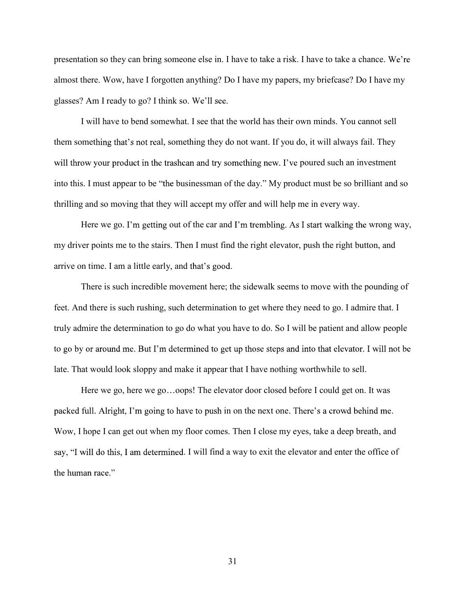presentation so they can bring someone else in. I have to take a risk. I have to take a chance. almost there. Wow, have I forgotten anything? Do I have my papers, my briefcase? Do I have my glasses? Am I ready to go? I think so. W

I will have to bend somewhat. I see that the world has their own minds. You cannot sell them something that's not real, something they do not want. If you do, it will always fail. They will throw your product in the trashcan and try something new. I've poured such an investment into this. I must appear to be "the businessman of the day." My product must be so brilliant and so thrilling and so moving that they will accept my offer and will help me in every way.

Here we go. I'm getting out of the car and I'm trembling. As I start walking the wrong way, my driver points me to the stairs. Then I must find the right elevator, push the right button, and arrive on time. I am a little early, and that's good.<br>There is such incredible movement here; the sidewalk seems to move with the pounding of

feet. And there is such rushing, such determination to get where they need to go. I admire that. I truly admire the determination to go do what you have to do. So I will be patient and allow people to go by or around me. But I'm determined to get up those steps and into that elevator. I will not be late. That would look sloppy and make it appear that I have nothing worthwhile to sell.

Here we go, here we go...oops! The elevator door closed before I could get on. It was packed full. Alright, I'm going to have to push in on the next one. There's a crowd behind me.<br>Wow, I hope I can get out when my floor comes. Then I close my eyes, take a deep breath, and say, "I will do this, I am determined. I will find a way to exit the elevator and enter the office of the human race."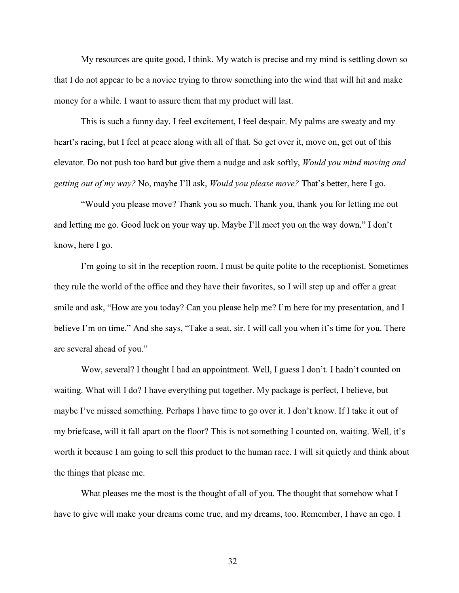My resources are quite good, I think. My watch is precise and my mind is settling down so that I do not appear to be a novice trying to throw something into the wind that will hit and make money for a while. I want to assure them that my product will last.

This is such a funny day. I feel excitement, I feel despair. My palms are sweaty and my heart's racing, but I feel at peace along with all of that. So get over it, move on, get out of this elevator. Do not push too hard but give them a nudge and ask softly, Would you mind moving and getting out of my way? No, maybe I'll ask, *Would you please move?* That's better, here I go.

"Would you please move? Thank you so much. Thank you, thank you for letting me out and letting me go. Good luck on your way up. Maybe I'll meet you on the way down." I don't know, here I go.

I'm going to sit in the reception room. I must be quite polite to the receptionist. Sometimes they rule the world of the office and they have their favorites, so I will step up and offer a great smile and ask, "How are you today? Can you please help me? I'm here for my presentation, and I believe I'm on time." And she says, "Take a seat, sir. I will call you when it's time for you. There are several ahead of you."

Wow, several? I thought I had an appointment. Well, I guess I don't. I hadn't counted on waiting. What will I do? I have everything put together. My package is perfect, I believe, but maybe I've missed something. Perhaps I have time to go over it. I don't know. If I take it out of my briefcase, will it fall apart on the floor? This is not something I counted on, waiting. Well, it's worth it because I am going to sell this product to the human race. I will sit quietly and think about the things that please me.

What pleases me the most is the thought of all of you. The thought that somehow what I have to give will make your dreams come true, and my dreams, too. Remember, I have an ego. I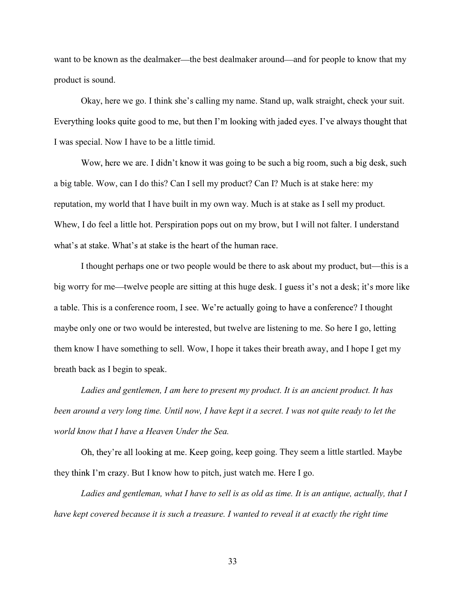want to be known as the dealmaker—the best dealmaker around—and for people to know that my product is sound.

Okay, here we go. I think she's calling my name. Stand up, walk straight, check your suit. Everything looks quite good to me, but then I'm looking with jaded eyes. I've always thought that I was special. Now I have to be a little timid.

Wow, here we are. I didn't know it was going to be such a big room, such a big desk, such a big table. Wow, can I do this? Can I sell my product? Can I? Much is at stake here: my reputation, my world that I have built in my own way. Much is at stake as I sell my product. Whew, I do feel a little hot. Perspiration pops out on my brow, but I will not falter. I understand what's at stake. What's at stake is the heart of the human race.

I thought perhaps one or two people would be there to ask about my product, but—this is a big worry for me—twelve people are sitting at this huge desk. I guess it's not a desk; it's more like a table. This is a conference room, I see. We're actually going to have a conference? I thought maybe only one or two would be interested, but twelve are listening to me. So here I go, letting them know I have something to sell. Wow, I hope it takes their breath away, and I hope I get my breath back as I begin to speak.

Ladies and gentlemen, I am here to present my product. It is an ancient product. It has been around a very long time. Until now, I have kept it a secret. I was not quite ready to let the world know that I have a Heaven Under the Sea.

Oh, they're all looking at me. Keep going, keep going. They seem a little startled. Maybe they think I'm crazy. But I know how to pitch, just watch me. Here I go.

Ladies and gentleman, what I have to sell is as old as time. It is an antique, actually, that I have kept covered because it is such a treasure. I wanted to reveal it at exactly the right time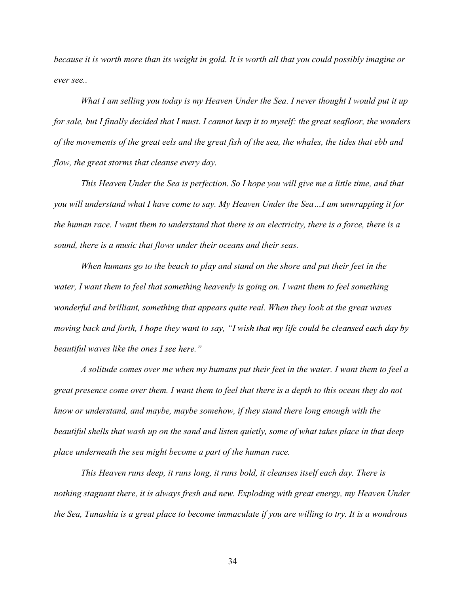because it is worth more than its weight in gold. It is worth all that you could possibly imagine or ever see..

What I am selling you today is my Heaven Under the Sea. I never thought I would put it up for sale, but I finally decided that I must. I cannot keep it to myself: the great seafloor, the wonders of the movements of the great eels and the great fish of the sea, the whales, the tides that ebb and flow, the great storms that cleanse every day.

This Heaven Under the Sea is perfection. So I hope you will give me a little time, and that you will understand what I have come to say. My Heaven Under the Sea...I am unwrapping it for the human race. I want them to understand that there is an electricity, there is a force, there is a sound, there is a music that flows under their oceans and their seas.

When humans go to the beach to play and stand on the shore and put their feet in the water, I want them to feel that something heavenly is going on. I want them to feel something wonderful and brilliant, something that appears quite real. When they look at the great waves moving back and forth, I hope they want to say, "I wish that my life could be cleansed each day by beautiful waves like the ones  $I$  see here."

A solitude comes over me when my humans put their feet in the water. I want them to feel a great presence come over them. I want them to feel that there is a depth to this ocean they do not know or understand, and maybe, maybe somehow, if they stand there long enough with the beautiful shells that wash up on the sand and listen quietly, some of what takes place in that deep place underneath the sea might become a part of the human race.

This Heaven runs deep, it runs long, it runs bold, it cleanses itself each day. There is nothing stagnant there, it is always fresh and new. Exploding with great energy, my Heaven Under the Sea, Tunashia is a great place to become immaculate if you are willing to try. It is a wondrous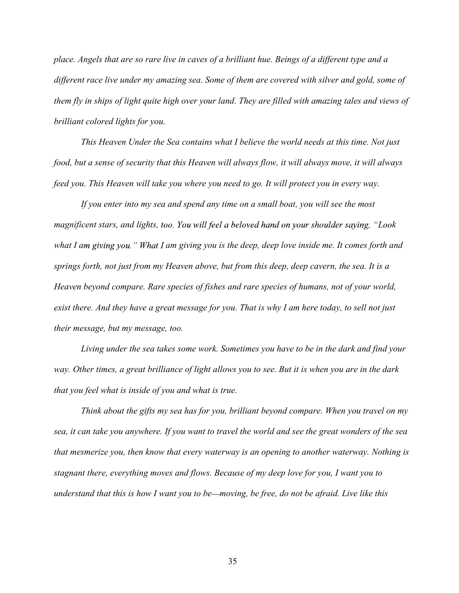place. Angels that are so rare live in caves of a brilliant hue. Beings of a different type and a different race live under my amazing sea. Some of them are covered with silver and gold, some of them fly in ships of light quite high over your land. They are filled with amazing tales and views of brilliant colored lights for you.

This Heaven Under the Sea contains what I believe the world needs at this time. Not just food, but a sense of security that this Heaven will always flow, it will always move, it will always feed you. This Heaven will take you where you need to go. It will protect you in every way.

If you enter into my sea and spend any time on a small boat, you will see the most magnificent stars, and lights, too. You will feel a beloved hand on your shoulder saying, "Look what I am giving you." What I am giving you is the deep, deep love inside me. It comes forth and springs forth, not just from my Heaven above, but from this deep, deep cavern, the sea. It is a Heaven beyond compare. Rare species of fishes and rare species of humans, not of your world, exist there. And they have a great message for you. That is why I am here today, to sell not just their message, but my message, too.

Living under the sea takes some work. Sometimes you have to be in the dark and find your way. Other times, a great brilliance of light allows you to see. But it is when you are in the dark that you feel what is inside of you and what is true.

Think about the gifts my sea has for you, brilliant beyond compare. When you travel on my sea, it can take you anywhere. If you want to travel the world and see the great wonders of the sea that mesmerize you, then know that every waterway is an opening to another waterway. Nothing is stagnant there, everything moves and flows. Because of my deep love for you, I want you to understand that this is how I want you to be—moving, be free, do not be afraid. Live like this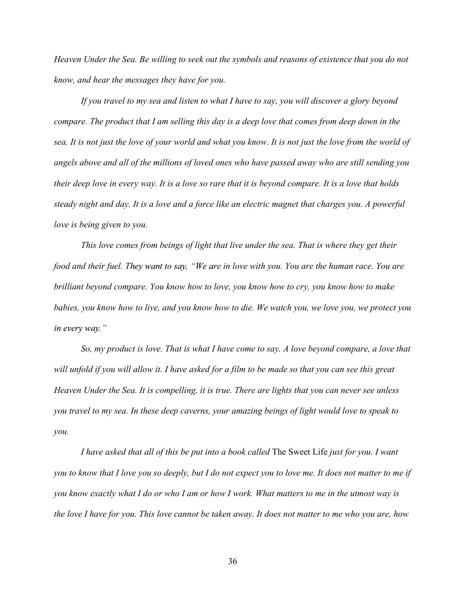Heaven Under the Sea. Be willing to seek out the symbols and reasons of existence that you do not know, and hear the messages they have for you.

If you travel to my sea and listen to what I have to say, you will discover a glory beyond compare. The product that I am selling this day is a deep love that comes from deep down in the sea. It is not just the love of your world and what you know. It is not just the love from the world of angels above and all of the millions of loved ones who have passed away who are still sending you their deep love in every way. It is a love so rare that it is beyond compare. It is a love that holds steady night and day. It is a love and a force like an electric magnet that charges you. A powerful love is being given to you.

This love comes from beings of light that live under the sea. That is where they get their food and their fuel. They want to say, "We are in love with you. You are the human race. You are brilliant beyond compare. You know how to love, you know how to cry, you know how to make babies, you know how to live, and you know how to die. We watch you, we love you, we protect you in every way."

So, my product is love. That is what I have come to say. A love beyond compare, a love that will unfold if you will allow it. I have asked for a film to be made so that you can see this great Heaven Under the Sea. It is compelling, it is true. There are lights that you can never see unless you travel to my sea. In these deep caverns, your amazing beings of light would love to speak to you.

I have asked that all of this be put into a book called The Sweet Life just for you. I want you to know that I love you so deeply, but I do not expect you to love me. It does not matter to me if you know exactly what I do or who I am or how I work. What matters to me in the utmost way is the love I have for you. This love cannot be taken away. It does not matter to me who you are, how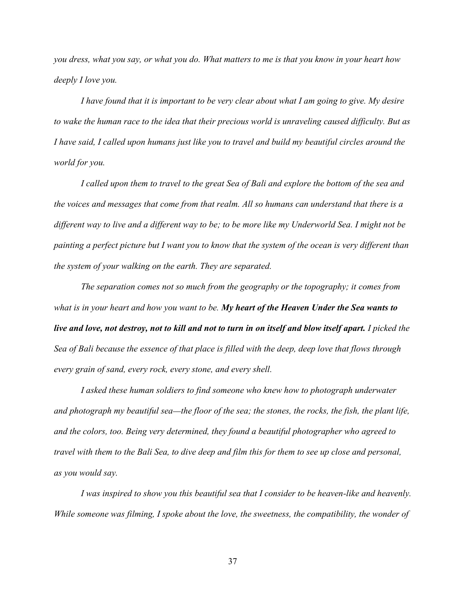you dress, what you say, or what you do. What matters to me is that you know in your heart how deeply I love you.

I have found that it is important to be very clear about what I am going to give. My desire to wake the human race to the idea that their precious world is unraveling caused difficulty. But as I have said, I called upon humans just like you to travel and build my beautiful circles around the world for you.

I called upon them to travel to the great Sea of Bali and explore the bottom of the sea and the voices and messages that come from that realm. All so humans can understand that there is a different way to live and a different way to be; to be more like my Underworld Sea. I might not be painting a perfect picture but I want you to know that the system of the ocean is very different than the system of your walking on the earth. They are separated.

The separation comes not so much from the geography or the topography; it comes from what is in your heart and how you want to be. My heart of the Heaven Under the Sea wants to live and love, not destroy, not to kill and not to turn in on itself and blow itself apart. I picked the Sea of Bali because the essence of that place is filled with the deep, deep love that flows through every grain of sand, every rock, every stone, and every shell.

I asked these human soldiers to find someone who knew how to photograph underwater and photograph my beautiful sea—the floor of the sea; the stones, the rocks, the fish, the plant life, and the colors, too. Being very determined, they found a beautiful photographer who agreed to travel with them to the Bali Sea, to dive deep and film this for them to see up close and personal, as you would say.

I was inspired to show you this beautiful sea that I consider to be heaven-like and heavenly. While someone was filming, I spoke about the love, the sweetness, the compatibility, the wonder of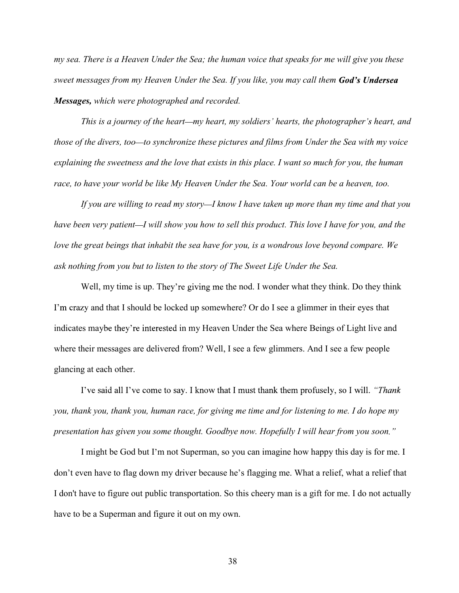my sea. There is a Heaven Under the Sea; the human voice that speaks for me will give you these sweet messages from my Heaven Under the Sea. If you like, you may call them God's Undersea Messages, which were photographed and recorded.

This is a journey of the heart—my heart, my soldiers' hearts, the photographer's heart, and those of the divers, too—to synchronize these pictures and films from Under the Sea with my voice explaining the sweetness and the love that exists in this place. I want so much for you, the human race, to have your world be like My Heaven Under the Sea. Your world can be a heaven, too.

If you are willing to read my story—I know I have taken up more than my time and that you have been very patient—I will show you how to sell this product. This love I have for you, and the love the great beings that inhabit the sea have for you, is a wondrous love beyond compare. We ask nothing from you but to listen to the story of The Sweet Life Under the Sea.

Well, my time is up. They're giving me the nod. I wonder what they think. Do they think I'm crazy and that I should be locked up somewhere? Or do I see a glimmer in their eyes that indicates may be they're interested in my Heaven Under the Sea where Beings of Light live and where their messages are delivered from? Well, I see a few glimmers. And I see a few people glancing at each other.

I've said all I've come to say. I know that I must thank them profusely, so I will. "Thank you, thank you, thank you, human race, for giving me time and for listening to me. I do hope my presentation has given you some thought. Goodbye now. Hopefully I will hear from you soon."

I might be God but I'm not Superman, so you can imagine how happy this day is for me. I don't even have to flag down my driver because he's flagging me. What a relief, what a relief that I don't have to figure out public transportation. So this cheery man is a gift for me. I do not actually have to be a Superman and figure it out on my own.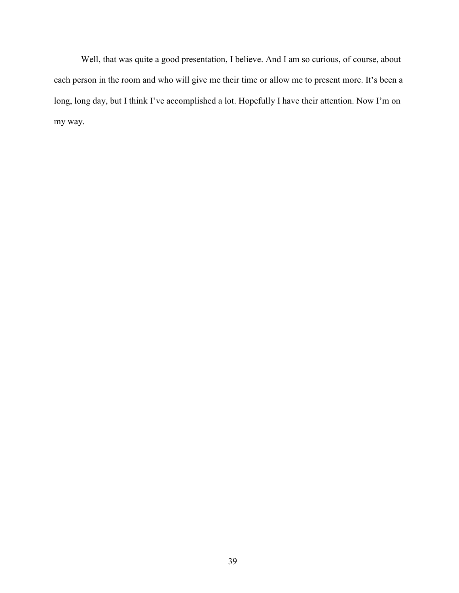Well, that was quite a good presentation, I believe. And I am so curious, of course, about each person in the room and who will give me their time or allow me to present more. It's been a long, long day, but I think I've accomplished a lot. Hopefully I have their attention. Now I'm on my way.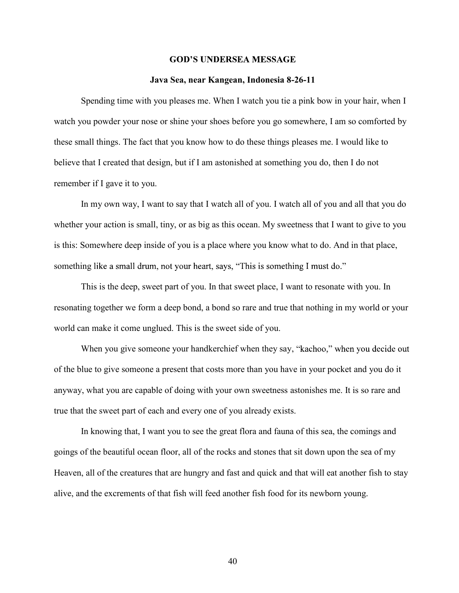#### **GOD'S UNDERSEA MESSAGE**

#### Java Sea, near Kangean, Indonesia 8-26-11

Spending time with you pleases me. When I watch you tie a pink bow in your hair, when I watch you powder your nose or shine your shoes before you go somewhere, I am so comforted by these small things. The fact that you know how to do these things pleases me. I would like to believe that I created that design, but if I am astonished at something you do, then I do not remember if I gave it to you.

In my own way, I want to say that I watch all of you. I watch all of you and all that you do whether your action is small, tiny, or as big as this ocean. My sweetness that I want to give to you is this: Somewhere deep inside of you is a place where you know what to do. And in that place, something like a small drum, not your heart, says, "This is something I must do."

This is the deep, sweet part of you. In that sweet place, I want to resonate with you. In resonating together we form a deep bond, a bond so rare and true that nothing in my world or your world can make it come unglued. This is the sweet side of you.

When you give someone your handkerchief when they say, "kachoo," when you decide out of the blue to give someone a present that costs more than you have in your pocket and you do it anyway, what you are capable of doing with your own sweetness astonishes me. It is so rare and true that the sweet part of each and every one of you already exists.

In knowing that, I want you to see the great flora and fauna of this sea, the comings and goings of the beautiful ocean floor, all of the rocks and stones that sit down upon the sea of my Heaven, all of the creatures that are hungry and fast and quick and that will eat another fish to stay alive, and the excrements of that fish will feed another fish food for its newborn young.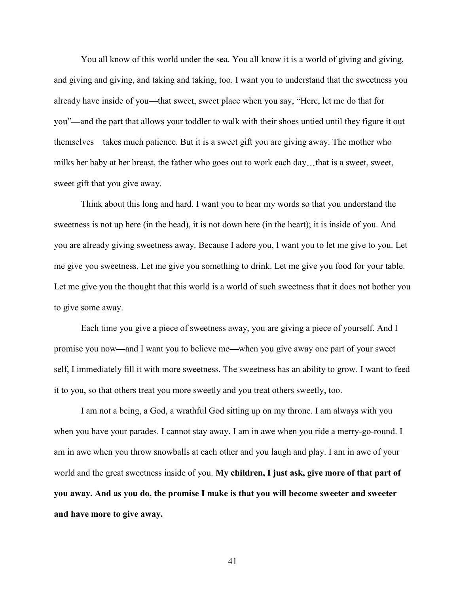You all know of this world under the sea. You all know it is a world of giving and giving, and giving and giving, and taking and taking, too. I want you to understand that the sweetness you already have inside of you—that sweet, sweet place when you say, "Here, let me do that for you"—and the part that allows your toddler to walk with their shoes untied until they figure it out themselves—takes much patience. But it is a sweet gift you are giving away. The mother who milks her baby at her breast, the father who goes out to work each day...that is a sweet, sweet, sweet gift that you give away.

Think about this long and hard. I want you to hear my words so that you understand the sweetness is not up here (in the head), it is not down here (in the heart); it is inside of you. And you are already giving sweetness away. Because I adore you, I want you to let me give to you. Let me give you sweetness. Let me give you something to drink. Let me give you food for your table. Let me give you the thought that this world is a world of such sweetness that it does not bother you to give some away.

Each time you give a piece of sweetness away, you are giving a piece of yourself. And I promise you now and I want you to believe me when you give away one part of your sweet self, I immediately fill it with more sweetness. The sweetness has an ability to grow. I want to feed it to you, so that others treat you more sweetly and you treat others sweetly, too.

I am not a being, a God, a wrathful God sitting up on my throne. I am always with you when you have your parades. I cannot stay away. I am in awe when you ride a merry-go-round. I am in awe when you throw snowballs at each other and you laugh and play. I am in awe of your world and the great sweetness inside of you. My children, I just ask, give more of that part of you away. And as you do, the promise I make is that you will become sweeter and sweeter and have more to give away.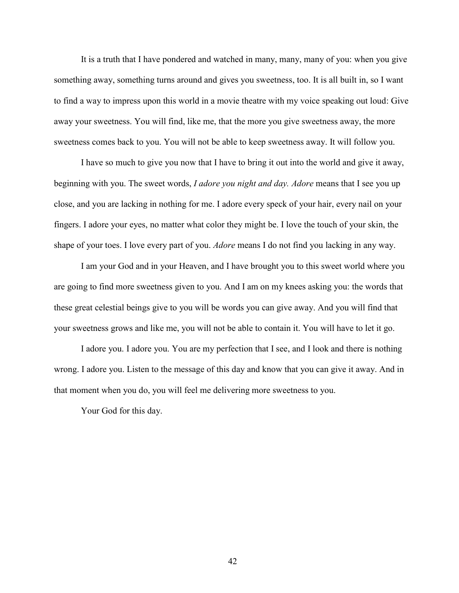It is a truth that I have pondered and watched in many, many, many of you: when you give something away, something turns around and gives you sweetness, too. It is all built in, so I want to find a way to impress upon this world in a movie theatre with my voice speaking out loud: Give away your sweetness. You will find, like me, that the more you give sweetness away, the more sweetness comes back to you. You will not be able to keep sweetness away. It will follow you.

I have so much to give you now that I have to bring it out into the world and give it away, beginning with you. The sweet words, *I adore you night and day. Adore* means that I see you up close, and you are lacking in nothing for me. I adore every speck of your hair, every nail on your fingers. I adore your eyes, no matter what color they might be. I love the touch of your skin, the shape of your toes. I love every part of you. Adore means I do not find you lacking in any way.

I am your God and in your Heaven, and I have brought you to this sweet world where you are going to find more sweetness given to you. And I am on my knees asking you: the words that these great celestial beings give to you will be words you can give away. And you will find that your sweetness grows and like me, you will not be able to contain it. You will have to let it go.

I adore you. I adore you. You are my perfection that I see, and I look and there is nothing wrong. I adore you. Listen to the message of this day and know that you can give it away. And in that moment when you do, you will feel me delivering more sweetness to you.

Your God for this day.